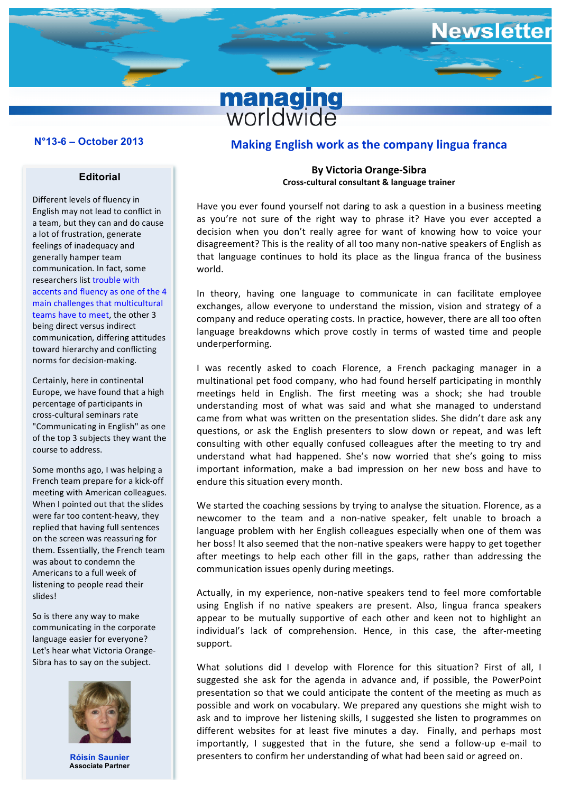### **N°11-7 – December 2011 N°13-6 – October 2013**

#### **Editorial**

Different levels of fluency in English may not lead to conflict in a team, but they can and do cause a lot of frustration, generate feelings of inadequacy and generally hamper team communication. In fact, some researchers list trouble with accents and fluency as one of the 4 main challenges that multicultural teams have to meet, the other 3 being direct versus indirect communication, differing attitudes toward hierarchy and conflicting norms for decision-making.

Certainly, here in continental Europe, we have found that a high percentage of participants in cross-cultural seminars rate "Communicating in English" as one of the top 3 subjects they want the course to address.

Some months ago, I was helping a French team prepare for a kick-off meeting with American colleagues. When I pointed out that the slides were far too content-heavy, they replied that having full sentences on the screen was reassuring for them. Essentially, the French team was about to condemn the Americans to a full week of listening to people read their slides!

So is there any way to make communicating in the corporate language easier for everyone? Let's hear what Victoria Orange-Sibra has to say on the subject.



**Róisín Saunier Associate Partner**

# **Making English work as the company lingua franca**

**managing**<br>worldwide

**Newsletter** 

### **By Victoria Orange-Sibra Cross-cultural consultant & language trainer**

Have you ever found yourself not daring to ask a question in a business meeting as you're not sure of the right way to phrase it? Have you ever accepted a decision when you don't really agree for want of knowing how to voice your disagreement? This is the reality of all too many non-native speakers of English as that language continues to hold its place as the lingua franca of the business world.

In theory, having one language to communicate in can facilitate employee exchanges, allow everyone to understand the mission, vision and strategy of a company and reduce operating costs. In practice, however, there are all too often language breakdowns which prove costly in terms of wasted time and people underperforming.

I was recently asked to coach Florence, a French packaging manager in a multinational pet food company, who had found herself participating in monthly meetings held in English. The first meeting was a shock; she had trouble understanding most of what was said and what she managed to understand came from what was written on the presentation slides. She didn't dare ask any questions, or ask the English presenters to slow down or repeat, and was left consulting with other equally confused colleagues after the meeting to try and understand what had happened. She's now worried that she's going to miss important information, make a bad impression on her new boss and have to endure this situation every month.

We started the coaching sessions by trying to analyse the situation. Florence, as a newcomer to the team and a non-native speaker, felt unable to broach a language problem with her English colleagues especially when one of them was her boss! It also seemed that the non-native speakers were happy to get together after meetings to help each other fill in the gaps, rather than addressing the communication issues openly during meetings.

Actually, in my experience, non-native speakers tend to feel more comfortable using English if no native speakers are present. Also, lingua franca speakers appear to be mutually supportive of each other and keen not to highlight an individual's lack of comprehension. Hence, in this case, the after-meeting support.

What solutions did I develop with Florence for this situation? First of all, I suggested she ask for the agenda in advance and, if possible, the PowerPoint presentation so that we could anticipate the content of the meeting as much as possible and work on vocabulary. We prepared any questions she might wish to ask and to improve her listening skills, I suggested she listen to programmes on different websites for at least five minutes a day. Finally, and perhaps most importantly, I suggested that in the future, she send a follow-up e-mail to presenters to confirm her understanding of what had been said or agreed on.